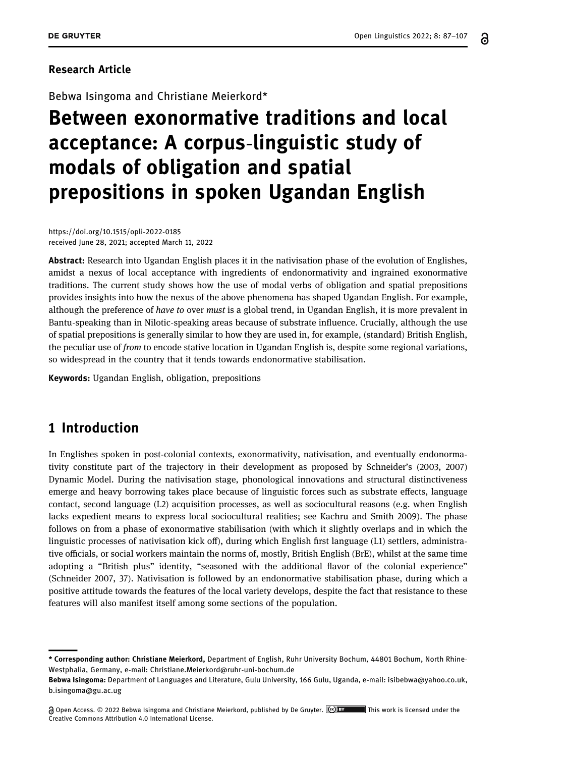႕

#### Research Article

Bebwa Isingoma and Christiane Meierkord\*

# Between exonormative traditions and local acceptance: A corpus-linguistic study of modals of obligation and spatial prepositions in spoken Ugandan English

[https://doi.org/10.1515/opli](https://doi.org/10.1515/opli-2022-0185)-2022-0185 received June 28, 2021; accepted March 11, 2022

Abstract: Research into Ugandan English places it in the nativisation phase of the evolution of Englishes, amidst a nexus of local acceptance with ingredients of endonormativity and ingrained exonormative traditions. The current study shows how the use of modal verbs of obligation and spatial prepositions provides insights into how the nexus of the above phenomena has shaped Ugandan English. For example, although the preference of have to over must is a global trend, in Ugandan English, it is more prevalent in Bantu-speaking than in Nilotic-speaking areas because of substrate influence. Crucially, although the use of spatial prepositions is generally similar to how they are used in, for example, (standard) British English, the peculiar use of *from* to encode stative location in Ugandan English is, despite some regional variations, so widespread in the country that it tends towards endonormative stabilisation.

Keywords: Ugandan English, obligation, prepositions

# <span id="page-0-0"></span>1 Introduction

In Englishes spoken in post-colonial contexts, exonormativity, nativisation, and eventually endonormativity constitute part of the trajectory in their development as proposed by Schneider's ([2003](#page-19-0), [2007](#page-19-1)) Dynamic Model. During the nativisation stage, phonological innovations and structural distinctiveness emerge and heavy borrowing takes place because of linguistic forces such as substrate effects, language contact, second language (L2) acquisition processes, as well as sociocultural reasons (e.g. when English lacks expedient means to express local sociocultural realities; see Kachru and Smith [2009](#page-19-2)). The phase follows on from a phase of exonormative stabilisation (with which it slightly overlaps and in which the linguistic processes of nativisation kick off), during which English first language (L1) settlers, administrative officials, or social workers maintain the norms of, mostly, British English (BrE), whilst at the same time adopting a "British plus" identity, "seasoned with the additional flavor of the colonial experience" (Schneider [2007,](#page-19-1) 37). Nativisation is followed by an endonormative stabilisation phase, during which a positive attitude towards the features of the local variety develops, despite the fact that resistance to these features will also manifest itself among some sections of the population.

<sup>\*</sup> Corresponding author: Christiane Meierkord, Department of English, Ruhr University Bochum, 44801 Bochum, North Rhine-Westphalia, Germany, e-mail: [Christiane.Meierkord@ruhr](mailto:Christiane.Meierkord@ruhr-uni-bochum.de)-uni-bochum.de

Bebwa Isingoma: Department of Languages and Literature, Gulu University, 166 Gulu, Uganda, e-mail: [isibebwa@yahoo.co.uk](mailto:isibebwa@yahoo.co.uk), [b.isingoma@gu.ac.ug](mailto:b.isingoma@gu.ac.ug)

A Open Access. © 2022 Bebwa Isingoma and Christiane Meierkord, published by De Gruyter. (@ EY This work is licensed under the Creative Commons Attribution 4.0 International License.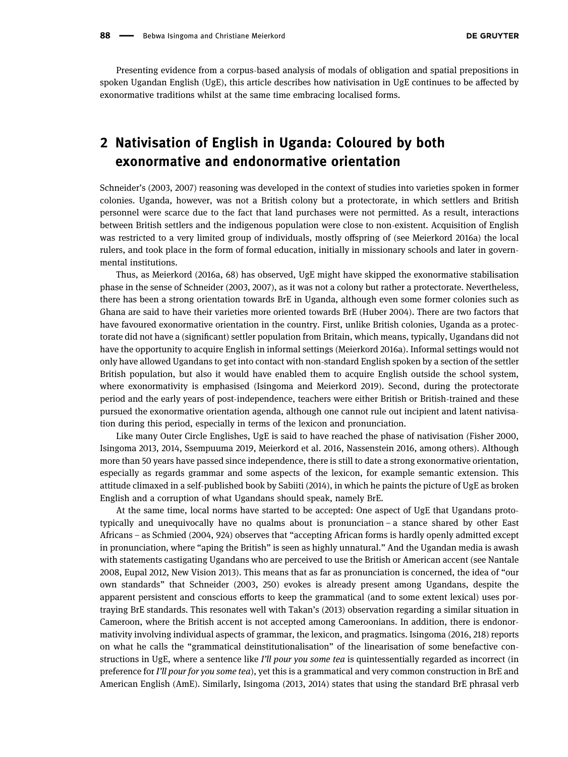Presenting evidence from a corpus-based analysis of modals of obligation and spatial prepositions in spoken Ugandan English (UgE), this article describes how nativisation in UgE continues to be affected by exonormative traditions whilst at the same time embracing localised forms.

# 2 Nativisation of English in Uganda: Coloured by both exonormative and endonormative orientation

Schneider's ([2003](#page-19-0), [2007](#page-19-1)) reasoning was developed in the context of studies into varieties spoken in former colonies. Uganda, however, was not a British colony but a protectorate, in which settlers and British personnel were scarce due to the fact that land purchases were not permitted. As a result, interactions between British settlers and the indigenous population were close to non-existent. Acquisition of English was restricted to a very limited group of individuals, mostly offspring of (see Meierkord [2016a](#page-19-3)) the local rulers, and took place in the form of formal education, initially in missionary schools and later in governmental institutions.

Thus, as Meierkord ([2016a](#page-19-3), 68) has observed, UgE might have skipped the exonormative stabilisation phase in the sense of Schneider ([2003,](#page-19-0) [2007](#page-19-1)), as it was not a colony but rather a protectorate. Nevertheless, there has been a strong orientation towards BrE in Uganda, although even some former colonies such as Ghana are said to have their varieties more oriented towards BrE (Huber [2004](#page-18-0)). There are two factors that have favoured exonormative orientation in the country. First, unlike British colonies, Uganda as a protectorate did not have a (significant) settler population from Britain, which means, typically, Ugandans did not have the opportunity to acquire English in informal settings (Meierkord [2016a](#page-19-3)). Informal settings would not only have allowed Ugandans to get into contact with non-standard English spoken by a section of the settler British population, but also it would have enabled them to acquire English outside the school system, where exonormativity is emphasised (Isingoma and Meierkord [2019](#page-18-1)). Second, during the protectorate period and the early years of post-independence, teachers were either British or British-trained and these pursued the exonormative orientation agenda, although one cannot rule out incipient and latent nativisation during this period, especially in terms of the lexicon and pronunciation.

Like many Outer Circle Englishes, UgE is said to have reached the phase of nativisation (Fisher [2000](#page-18-2), Isingoma [2013](#page-18-3), [2014](#page-18-4), Ssempuuma [2019,](#page-19-4) Meierkord et al. [2016](#page-19-5), Nassenstein [2016,](#page-19-6) among others). Although more than 50 years have passed since independence, there is still to date a strong exonormative orientation, especially as regards grammar and some aspects of the lexicon, for example semantic extension. This attitude climaxed in a self-published book by Sabiiti ([2014](#page-19-7)), in which he paints the picture of UgE as broken English and a corruption of what Ugandans should speak, namely BrE.

At the same time, local norms have started to be accepted: One aspect of UgE that Ugandans prototypically and unequivocally have no qualms about is pronunciation – a stance shared by other East Africans – as Schmied ([2004](#page-19-8), 924) observes that "accepting African forms is hardly openly admitted except in pronunciation, where "aping the British" is seen as highly unnatural." And the Ugandan media is awash with statements castigating Ugandans who are perceived to use the British or American accent (see Nantale [2008](#page-19-9), Eupal [2012,](#page-18-5) New Vision [2013](#page-19-10)). This means that as far as pronunciation is concerned, the idea of "our own standards" that Schneider ([2003](#page-19-0), 250) evokes is already present among Ugandans, despite the apparent persistent and conscious efforts to keep the grammatical (and to some extent lexical) uses portraying BrE standards. This resonates well with Takan's ([2013](#page-20-0)) observation regarding a similar situation in Cameroon, where the British accent is not accepted among Cameroonians. In addition, there is endonormativity involving individual aspects of grammar, the lexicon, and pragmatics. Isingoma ([2016,](#page-18-6) 218) reports on what he calls the "grammatical deinstitutionalisation" of the linearisation of some benefactive constructions in UgE, where a sentence like I'll pour you some tea is quintessentially regarded as incorrect (in preference for I'll pour for you some tea), yet this is a grammatical and very common construction in BrE and American English (AmE). Similarly, Isingoma ([2013,](#page-18-3) [2014](#page-18-4)) states that using the standard BrE phrasal verb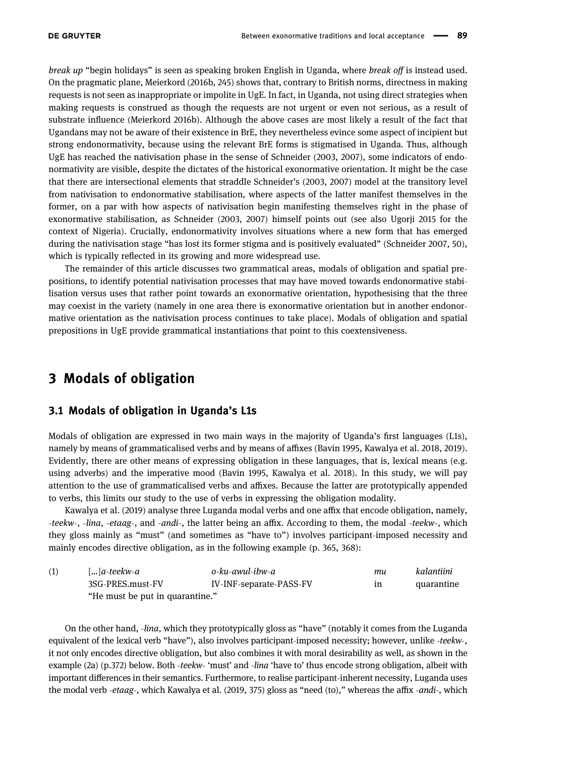break up "begin holidays" is seen as speaking broken English in Uganda, where break off is instead used. On the pragmatic plane, Meierkord ([2016b,](#page-19-11) 245) shows that, contrary to British norms, directness in making requests is not seen as inappropriate or impolite in UgE. In fact, in Uganda, not using direct strategies when making requests is construed as though the requests are not urgent or even not serious, as a result of substrate influence (Meierkord [2016b](#page-19-11)). Although the above cases are most likely a result of the fact that Ugandans may not be aware of their existence in BrE, they nevertheless evince some aspect of incipient but strong endonormativity, because using the relevant BrE forms is stigmatised in Uganda. Thus, although UgE has reached the nativisation phase in the sense of Schneider ([2003,](#page-19-0) [2007](#page-19-1)), some indicators of endonormativity are visible, despite the dictates of the historical exonormative orientation. It might be the case that there are intersectional elements that straddle Schneider's ([2003](#page-19-0), [2007](#page-19-1)) model at the transitory level from nativisation to endonormative stabilisation, where aspects of the latter manifest themselves in the former, on a par with how aspects of nativisation begin manifesting themselves right in the phase of exonormative stabilisation, as Schneider ([2003](#page-19-0), [2007](#page-19-1)) himself points out (see also Ugorji [2015](#page-20-1) for the context of Nigeria). Crucially, endonormativity involves situations where a new form that has emerged during the nativisation stage "has lost its former stigma and is positively evaluated" (Schneider [2007,](#page-19-1) 50), which is typically reflected in its growing and more widespread use.

The remainder of this article discusses two grammatical areas, modals of obligation and spatial prepositions, to identify potential nativisation processes that may have moved towards endonormative stabilisation versus uses that rather point towards an exonormative orientation, hypothesising that the three may coexist in the variety (namely in one area there is exonormative orientation but in another endonormative orientation as the nativisation process continues to take place). Modals of obligation and spatial prepositions in UgE provide grammatical instantiations that point to this coextensiveness.

# 3 Modals of obligation

#### <span id="page-2-0"></span>3.1 Modals of obligation in Uganda's L1s

Modals of obligation are expressed in two main ways in the majority of Uganda's first languages (L1s), namely by means of grammaticalised verbs and by means of affixes (Bavin [1995](#page-18-7), Kawalya et al. [2018,](#page-19-12) [2019](#page-19-13)). Evidently, there are other means of expressing obligation in these languages, that is, lexical means (e.g. using adverbs) and the imperative mood (Bavin [1995,](#page-18-7) Kawalya et al. [2018](#page-19-12)). In this study, we will pay attention to the use of grammaticalised verbs and affixes. Because the latter are prototypically appended to verbs, this limits our study to the use of verbs in expressing the obligation modality.

Kawalya et al. ([2019](#page-19-13)) analyse three Luganda modal verbs and one affix that encode obligation, namely, -teekw-, -lina, -etaag-, and -andi-, the latter being an affix. According to them, the modal -teekw-, which they gloss mainly as "must" (and sometimes as "have to") involves participant-imposed necessity and mainly encodes directive obligation, as in the following example (p. 365, 368):

| (1) | $\left  \ldots \right $ a-teekw-a | o-ku-awul-ibw-a         | mи | kalantiini |
|-----|-----------------------------------|-------------------------|----|------------|
|     | 3SG-PRES.must-FV                  | IV-INF-separate-PASS-FV | ın | quarantine |
|     | "He must be put in quarantine."   |                         |    |            |

On the other hand, -lina, which they prototypically gloss as "have" (notably it comes from the Luganda equivalent of the lexical verb "have"), also involves participant-imposed necessity; however, unlike -teekw-, it not only encodes directive obligation, but also combines it with moral desirability as well, as shown in the example (2a) (p.372) below. Both -teekw- 'must' and -lina 'have to' thus encode strong obligation, albeit with important differences in their semantics. Furthermore, to realise participant-inherent necessity, Luganda uses the modal verb -etaag-, which Kawalya et al. ([2019](#page-19-13), 375) gloss as "need (to)," whereas the affix -andi-, which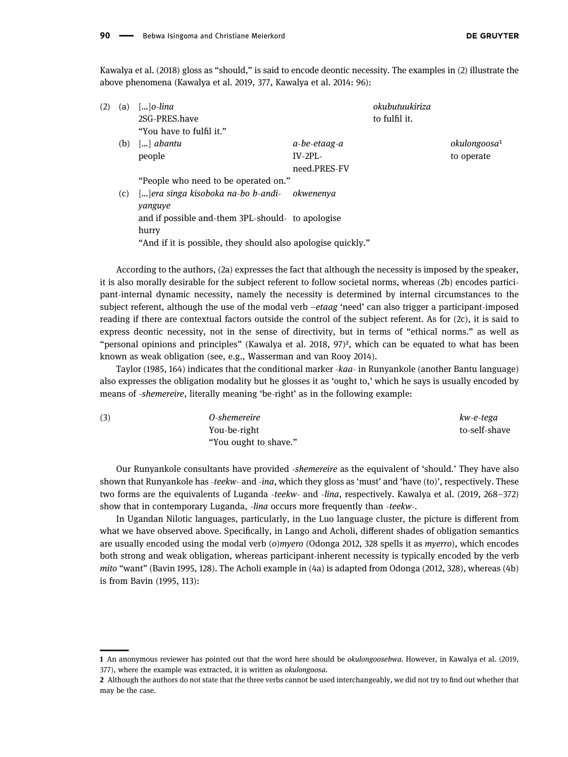Kawalya et al. ([2018](#page-19-12)) gloss as "should," is said to encode deontic necessity. The examples in (2) illustrate the above phenomena (Kawalya et al. [2019,](#page-19-13) 377, Kawalya et al. [2014:](#page-19-14) 96):

| (2) | (a) | $\left[\ldots\right]$ o-lina                                 |              | okubutuukiriza |                          |
|-----|-----|--------------------------------------------------------------|--------------|----------------|--------------------------|
|     |     | 2SG-PRES.have                                                |              | to fulfil it.  |                          |
|     |     | "You have to fulfil it."                                     |              |                |                          |
|     | (b) | $\left[\ldots\right]$ abantu                                 | a-be-etaag-a |                | okulongoosa <sup>1</sup> |
|     |     | people                                                       | $IV-2PI-$    |                | to operate               |
|     |     |                                                              | need.PRES-FV |                |                          |
|     |     | "People who need to be operated on."                         |              |                |                          |
|     | (c) | []era singa kisoboka na-bo b-andi-                           | okwenenva    |                |                          |
|     |     | yanguye                                                      |              |                |                          |
|     |     | and if possible and-them 3PL-should- to apologise            |              |                |                          |
|     |     | hurry                                                        |              |                |                          |
|     |     | "And if it is possible, they should also apologise quickly." |              |                |                          |
|     |     |                                                              |              |                |                          |

According to the authors, (2a) expresses the fact that although the necessity is imposed by the speaker, it is also morally desirable for the subject referent to follow societal norms, whereas (2b) encodes participant-internal dynamic necessity, namely the necessity is determined by internal circumstances to the subject referent, although the use of the modal verb –etaag 'need' can also trigger a participant-imposed reading if there are contextual factors outside the control of the subject referent. As for (2c), it is said to express deontic necessity, not in the sense of directivity, but in terms of "ethical norms." as well as "personal opinions and principles" (Kawalya et al. [2018](#page-19-12), 97)[²,](#page-3-1) which can be equated to what has been known as weak obligation (see, e.g., Wasserman and van Rooy [2014](#page-20-2)).

Taylor ([1985](#page-20-3), 164) indicates that the conditional marker -kaa- in Runyankole (another Bantu language) also expresses the obligation modality but he glosses it as 'ought to,' which he says is usually encoded by means of -shemereire, literally meaning 'be-right' as in the following example:

| (3) | 0-shemereire          | kw-e-tega     |
|-----|-----------------------|---------------|
|     | You-be-right          | to-self-shave |
|     | "You ought to shave." |               |

Our Runyankole consultants have provided -shemereire as the equivalent of 'should.' They have also shown that Runyankole has -teekw- and -ina, which they gloss as 'must' and 'have (to)', respectively. These two forms are the equivalents of Luganda -teekw- and -lina, respectively. Kawalya et al. ([2019,](#page-19-13) 268–372) show that in contemporary Luganda, -lina occurs more frequently than -teekw-.

In Ugandan Nilotic languages, particularly, in the Luo language cluster, the picture is different from what we have observed above. Specifically, in Lango and Acholi, different shades of obligation semantics are usually encoded using the modal verb (o)myero (Odonga [2012,](#page-19-15) 328 spells it as myerro), which encodes both strong and weak obligation, whereas participant-inherent necessity is typically encoded by the verb mito "want" (Bavin [1995,](#page-18-7) 128). The Acholi example in (4a) is adapted from Odonga ([2012,](#page-19-15) 328), whereas (4b) is from Bavin ([1995,](#page-18-7) 113):

<span id="page-3-0"></span>

<sup>1</sup> An anonymous reviewer has pointed out that the word here should be okulongoosebwa. However, in Kawalya et al. ([2019,](#page-19-13) 377), where the example was extracted, it is written as okulongoosa.

<span id="page-3-1"></span><sup>2</sup> Although the authors do not state that the three verbs cannot be used interchangeably, we did not try to find out whether that may be the case.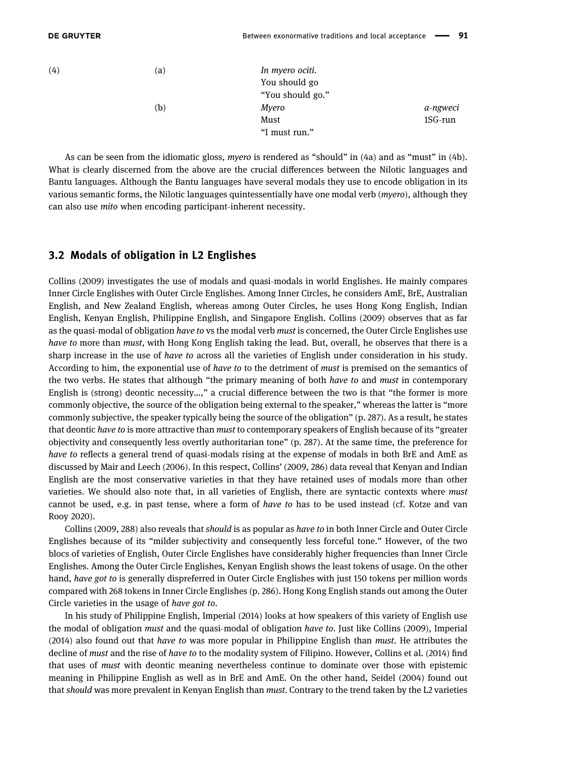| (4) | (a) | In myero ociti.<br>You should go |          |
|-----|-----|----------------------------------|----------|
|     |     | "You should go."                 |          |
|     | (b) | Myero                            | a-ngweci |
|     |     | Must                             | 1SG-run  |
|     |     | "I must run."                    |          |

As can be seen from the idiomatic gloss, myero is rendered as "should" in (4a) and as "must" in (4b). What is clearly discerned from the above are the crucial differences between the Nilotic languages and Bantu languages. Although the Bantu languages have several modals they use to encode obligation in its various semantic forms, the Nilotic languages quintessentially have one modal verb (myero), although they can also use mito when encoding participant-inherent necessity.

#### 3.2 Modals of obligation in L2 Englishes

Collins ([2009](#page-18-8)) investigates the use of modals and quasi-modals in world Englishes. He mainly compares Inner Circle Englishes with Outer Circle Englishes. Among Inner Circles, he considers AmE, BrE, Australian English, and New Zealand English, whereas among Outer Circles, he uses Hong Kong English, Indian English, Kenyan English, Philippine English, and Singapore English. Collins ([2009](#page-18-8)) observes that as far as the quasi-modal of obligation have to vs the modal verb must is concerned, the Outer Circle Englishes use have to more than must, with Hong Kong English taking the lead. But, overall, he observes that there is a sharp increase in the use of *have to* across all the varieties of English under consideration in his study. According to him, the exponential use of have to to the detriment of must is premised on the semantics of the two verbs. He states that although "the primary meaning of both have to and must in contemporary English is (strong) deontic necessity…," a crucial difference between the two is that "the former is more commonly objective, the source of the obligation being external to the speaker," whereas the latter is "more commonly subjective, the speaker typically being the source of the obligation" (p. 287). As a result, he states that deontic have to is more attractive than must to contemporary speakers of English because of its "greater objectivity and consequently less overtly authoritarian tone" (p. 287). At the same time, the preference for have to reflects a general trend of quasi-modals rising at the expense of modals in both BrE and AmE as discussed by Mair and Leech ([2006](#page-19-16)). In this respect, Collins' ([2009](#page-18-8), 286) data reveal that Kenyan and Indian English are the most conservative varieties in that they have retained uses of modals more than other varieties. We should also note that, in all varieties of English, there are syntactic contexts where must cannot be used, e.g. in past tense, where a form of have to has to be used instead (cf. Kotze and van Rooy [2020](#page-19-17)).

Collins ([2009](#page-18-8), 288) also reveals that should is as popular as have to in both Inner Circle and Outer Circle Englishes because of its "milder subjectivity and consequently less forceful tone." However, of the two blocs of varieties of English, Outer Circle Englishes have considerably higher frequencies than Inner Circle Englishes. Among the Outer Circle Englishes, Kenyan English shows the least tokens of usage. On the other hand, have got to is generally dispreferred in Outer Circle Englishes with just 150 tokens per million words compared with 268 tokens in Inner Circle Englishes (p. 286). Hong Kong English stands out among the Outer Circle varieties in the usage of have got to.

In his study of Philippine English, Imperial ([2014](#page-18-9)) looks at how speakers of this variety of English use the modal of obligation must and the quasi-modal of obligation have to. Just like Collins ([2009](#page-18-8)), Imperial ([2014](#page-18-9)) also found out that have to was more popular in Philippine English than must. He attributes the decline of *must* and the rise of *have to* to the modality system of Filipino. However, Collins et al. ([2014](#page-18-10)) find that uses of must with deontic meaning nevertheless continue to dominate over those with epistemic meaning in Philippine English as well as in BrE and AmE. On the other hand, Seidel ([2004](#page-19-18)) found out that should was more prevalent in Kenyan English than must. Contrary to the trend taken by the L2 varieties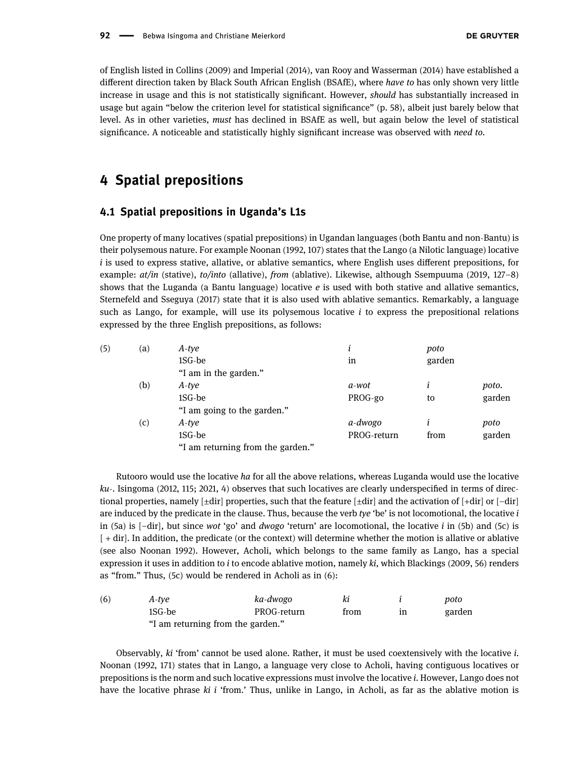of English listed in Collins ([2009](#page-18-8)) and Imperial ([2014](#page-18-9)), van Rooy and Wasserman ([2014](#page-20-4)) have established a different direction taken by Black South African English (BSAfE), where have to has only shown very little increase in usage and this is not statistically significant. However, should has substantially increased in usage but again "below the criterion level for statistical significance" (p. 58), albeit just barely below that level. As in other varieties, must has declined in BSAfE as well, but again below the level of statistical significance. A noticeable and statistically highly significant increase was observed with need to.

# <span id="page-5-1"></span>4 Spatial prepositions

#### <span id="page-5-2"></span>4.1 Spatial prepositions in Uganda's L1s

One property of many locatives (spatial prepositions) in Ugandan languages (both Bantu and non-Bantu) is their polysemous nature. For example Noonan ([1992](#page-19-19), 107) states that the Lango (a Nilotic language) locative  $i$  is used to express stative, allative, or ablative semantics, where English uses different prepositions, for example: at/in (stative), to/into (allative), from (ablative). Likewise, although Ssempuuma ([2019](#page-19-4), 127–8) shows that the Luganda (a Bantu language) locative e is used with both stative and allative semantics, Sternefeld and Sseguya ([2017](#page-19-20)) state that it is also used with ablative semantics. Remarkably, a language such as Lango, for example, will use its polysemous locative  $i$  to express the prepositional relations expressed by the three English prepositions, as follows:

| (5) | $\left( a\right)$ | A-tye                             |             | poto   |        |
|-----|-------------------|-----------------------------------|-------------|--------|--------|
|     |                   | 1SG-be                            | in          | garden |        |
|     |                   | "I am in the garden."             |             |        |        |
|     | (b)               | A-tye                             | a-wot       | Ť      | poto.  |
|     |                   | 1SG-be                            | PROG-go     | to     | garden |
|     |                   | "I am going to the garden."       |             |        |        |
|     | (c)               | A-tye                             | a-dwogo     |        | poto   |
|     |                   | 1SG-be                            | PROG-return | from   | garden |
|     |                   | "I am returning from the garden." |             |        |        |

Rutooro would use the locative ha for all the above relations, whereas Luganda would use the locative ku-. Isingoma ([2012](#page-18-11), 115; [2021,](#page-18-12) 4) observes that such locatives are clearly underspecified in terms of directional properties, namely  $[\pm \text{dir}]$  properties, such that the feature  $[\pm \text{dir}]$  and the activation of  $[\pm \text{dir}]$  or  $[-\text{dir}]$ are induced by the predicate in the clause. Thus, because the verb tye 'be' is not locomotional, the locative  $i$ in (5a) is  $[-dir]$ , but since wot 'go' and dwogo 'return' are locomotional, the locative i in (5b) and (5c) is [ + dir]. In addition, the predicate (or the context) will determine whether the motion is allative or ablative (see also Noonan [1992](#page-19-19)). However, Acholi, which belongs to the same family as Lango, has a special expression it uses in addition to i to encode ablative motion, namely ki, which Blackings ([2009](#page-18-13), 56) renders as "from." Thus, (5c) would be rendered in Acholi as in (6):

<span id="page-5-0"></span>

| (6) | A-tve                             | ka-dwogo    | ki   |    | poto   |
|-----|-----------------------------------|-------------|------|----|--------|
|     | 1SG-be                            | PROG-return | trom | ın | garden |
|     | "I am returning from the garden." |             |      |    |        |

Observably, ki 'from' cannot be used alone. Rather, it must be used coextensively with the locative i. Noonan ([1992](#page-19-19), 171) states that in Lango, a language very close to Acholi, having contiguous locatives or prepositions is the norm and such locative expressions must involve the locative i. However, Lango does not have the locative phrase  $ki$  i 'from.' Thus, unlike in Lango, in Acholi, as far as the ablative motion is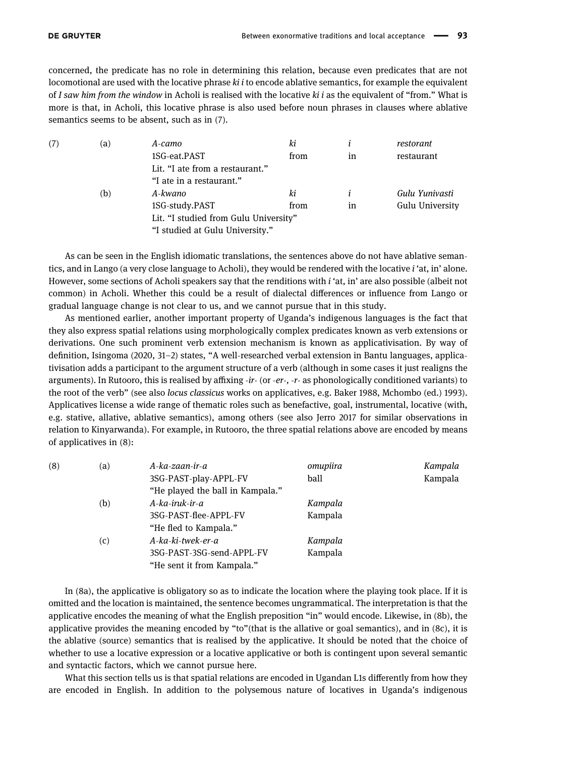concerned, the predicate has no role in determining this relation, because even predicates that are not locomotional are used with the locative phrase  $ki$  i to encode ablative semantics, for example the equivalent of I saw him from the window in Acholi is realised with the locative  $ki$  i as the equivalent of "from." What is more is that, in Acholi, this locative phrase is also used before noun phrases in clauses where ablative semantics seems to be absent, such as in (7).

| (7) | (a) | A-camo                                | ki   |    | restorant       |
|-----|-----|---------------------------------------|------|----|-----------------|
|     |     | 1SG-eat.PAST                          | from | in | restaurant      |
|     |     | Lit. "I ate from a restaurant."       |      |    |                 |
|     |     | "I ate in a restaurant."              |      |    |                 |
|     | (b) | A-kwano                               | ki   |    | Gulu Yunivasti  |
|     |     | 1SG-study.PAST                        | from | in | Gulu University |
|     |     | Lit. "I studied from Gulu University" |      |    |                 |
|     |     | "I studied at Gulu University."       |      |    |                 |

As can be seen in the English idiomatic translations, the sentences above do not have ablative semantics, and in Lango (a very close language to Acholi), they would be rendered with the locative i 'at, in' alone. However, some sections of Acholi speakers say that the renditions with i 'at, in' are also possible (albeit not common) in Acholi. Whether this could be a result of dialectal differences or influence from Lango or gradual language change is not clear to us, and we cannot pursue that in this study.

As mentioned earlier, another important property of Uganda's indigenous languages is the fact that they also express spatial relations using morphologically complex predicates known as verb extensions or derivations. One such prominent verb extension mechanism is known as applicativisation. By way of definition, Isingoma ([2020,](#page-18-14) 31–2) states, "A well-researched verbal extension in Bantu languages, applicativisation adds a participant to the argument structure of a verb (although in some cases it just realigns the arguments). In Rutooro, this is realised by affixing -ir- (or -er-, -r- as phonologically conditioned variants) to the root of the verb" (see also locus classicus works on applicatives, e.g. Baker [1988,](#page-18-15) Mchombo (ed.) [1993](#page-19-21)). Applicatives license a wide range of thematic roles such as benefactive, goal, instrumental, locative (with, e.g. stative, allative, ablative semantics), among others (see also Jerro [2017](#page-18-16) for similar observations in relation to Kinyarwanda). For example, in Rutooro, the three spatial relations above are encoded by means of applicatives in (8):

| (8) | (a) | A-ka-zaan-ir-a                   | omupiira | Kampala |
|-----|-----|----------------------------------|----------|---------|
|     |     | 3SG-PAST-play-APPL-FV            | ball     | Kampala |
|     |     | "He played the ball in Kampala." |          |         |
|     | (b) | A-ka-iruk-ir-a                   | Kampala  |         |
|     |     | 3SG-PAST-flee-APPL-FV            | Kampala  |         |
|     |     | "He fled to Kampala."            |          |         |
|     | (c) | A-ka-ki-twek-er-a                | Kampala  |         |
|     |     | 3SG-PAST-3SG-send-APPL-FV        | Kampala  |         |
|     |     | "He sent it from Kampala."       |          |         |

In (8a), the applicative is obligatory so as to indicate the location where the playing took place. If it is omitted and the location is maintained, the sentence becomes ungrammatical. The interpretation is that the applicative encodes the meaning of what the English preposition "in" would encode. Likewise, in (8b), the applicative provides the meaning encoded by "to"(that is the allative or goal semantics), and in (8c), it is the ablative (source) semantics that is realised by the applicative. It should be noted that the choice of whether to use a locative expression or a locative applicative or both is contingent upon several semantic and syntactic factors, which we cannot pursue here.

What this section tells us is that spatial relations are encoded in Ugandan L1s differently from how they are encoded in English. In addition to the polysemous nature of locatives in Uganda's indigenous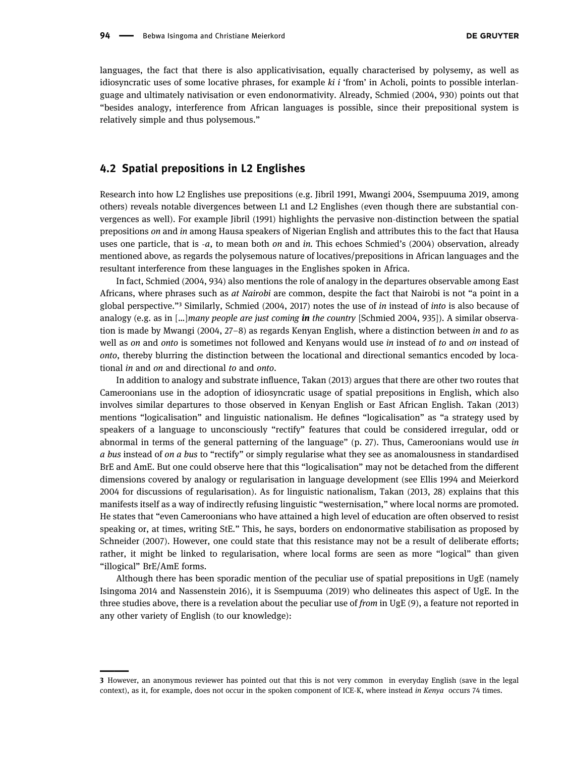languages, the fact that there is also applicativisation, equally characterised by polysemy, as well as idiosyncratic uses of some locative phrases, for example ki i 'from' in Acholi, points to possible interlanguage and ultimately nativisation or even endonormativity. Already, Schmied ([2004,](#page-19-8) 930) points out that "besides analogy, interference from African languages is possible, since their prepositional system is relatively simple and thus polysemous."

#### 4.2 Spatial prepositions in L2 Englishes

<span id="page-7-0"></span>

Research into how L2 Englishes use prepositions (e.g. Jibril [1991](#page-18-17), Mwangi [2004,](#page-19-22) Ssempuuma [2019](#page-19-4), among others) reveals notable divergences between L1 and L2 Englishes (even though there are substantial convergences as well). For example Jibril ([1991](#page-18-17)) highlights the pervasive non-distinction between the spatial prepositions on and in among Hausa speakers of Nigerian English and attributes this to the fact that Hausa uses one particle, that is  $-a$ , to mean both *on* and *in*. This echoes Schmied's ([2004](#page-19-8)) observation, already mentioned above, as regards the polysemous nature of locatives/prepositions in African languages and the resultant interference from these languages in the Englishes spoken in Africa.

In fact, Schmied ([2004](#page-19-8), 934) also mentions the role of analogy in the departures observable among East Africans, where phrases such as at Nairobi are common, despite the fact that Nairobi is not "a point in a global perspective."<sup>3</sup> Similarly, Schmied ([2004](#page-19-8), [2017](#page-19-23)) notes the use of in instead of into is also because of analogy (e.g. as in  $\lceil ... \rceil$ many people are just coming in the country [Schmied [2004](#page-19-8), 935]). A similar observation is made by Mwangi ([2004](#page-19-22), 27–8) as regards Kenyan English, where a distinction between in and to as well as on and onto is sometimes not followed and Kenyans would use in instead of to and on instead of onto, thereby blurring the distinction between the locational and directional semantics encoded by locational in and on and directional to and onto.

In addition to analogy and substrate influence, Takan ([2013](#page-20-0)) argues that there are other two routes that Cameroonians use in the adoption of idiosyncratic usage of spatial prepositions in English, which also involves similar departures to those observed in Kenyan English or East African English. Takan ([2013](#page-20-0)) mentions "logicalisation" and linguistic nationalism. He defines "logicalisation" as "a strategy used by speakers of a language to unconsciously "rectify" features that could be considered irregular, odd or abnormal in terms of the general patterning of the language" (p. 27). Thus, Cameroonians would use in a bus instead of on a bus to "rectify" or simply regularise what they see as anomalousness in standardised BrE and AmE. But one could observe here that this "logicalisation" may not be detached from the different dimensions covered by analogy or regularisation in language development (see Ellis [1994](#page-18-18) and Meierkord [2004](#page-19-24) for discussions of regularisation). As for linguistic nationalism, Takan ([2013,](#page-20-0) 28) explains that this manifests itself as a way of indirectly refusing linguistic "westernisation," where local norms are promoted. He states that "even Cameroonians who have attained a high level of education are often observed to resist speaking or, at times, writing StE." This, he says, borders on endonormative stabilisation as proposed by Schneider ([2007](#page-19-1)). However, one could state that this resistance may not be a result of deliberate efforts; rather, it might be linked to regularisation, where local forms are seen as more "logical" than given "illogical" BrE/AmE forms.

Although there has been sporadic mention of the peculiar use of spatial prepositions in UgE (namely Isingoma [2014](#page-18-4) and Nassenstein [2016](#page-19-6)), it is Ssempuuma ([2019](#page-19-4)) who delineates this aspect of UgE. In the three studies above, there is a revelation about the peculiar use of from in UgE  $(9)$ , a feature not reported in any other variety of English (to our knowledge):

<sup>3</sup> However, an anonymous reviewer has pointed out that this is not very common in everyday English (save in the legal context), as it, for example, does not occur in the spoken component of ICE-K, where instead in Kenya occurs 74 times.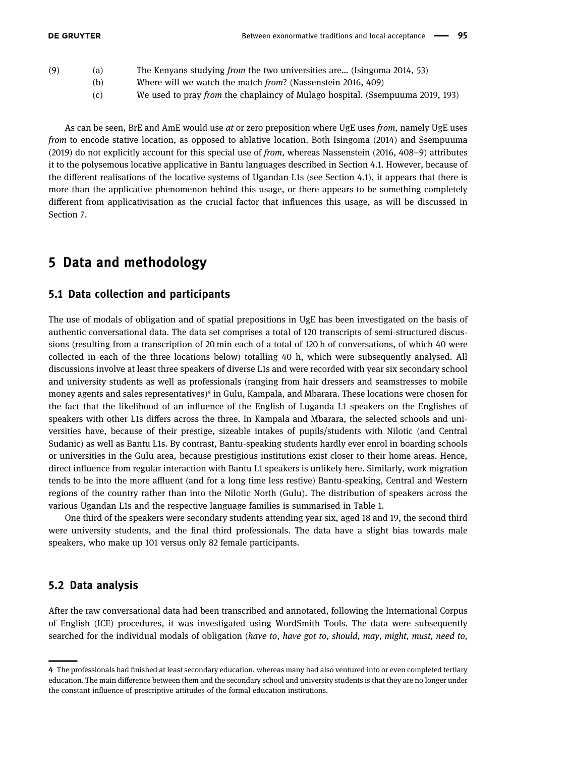- (9) (a) The Kenyans studying from the two universities are… (Isingoma [2014](#page-18-4), 53)
	- (b) Where will we watch the match from? (Nassenstein [2016](#page-19-6), 409)
	- (c) We used to pray from the chaplaincy of Mulago hospital. (Ssempuuma [2019](#page-19-4), 193)

As can be seen, BrE and AmE would use at or zero preposition where UgE uses from, namely UgE uses from to encode stative location, as opposed to ablative location. Both Isingoma ([2014](#page-18-4)) and Ssempuuma ([2019](#page-19-4)) do not explicitly account for this special use of from, whereas Nassenstein ([2016,](#page-19-6) 408–9) attributes it to the polysemous locative applicative in Bantu languages described in Section [4.1.](#page-2-0) However, because of the different realisations of the locative systems of Ugandan L1s (see Section [4.1](#page-2-0)), it appears that there is more than the applicative phenomenon behind this usage, or there appears to be something completely different from applicativisation as the crucial factor that influences this usage, as will be discussed in Section [7.](#page-5-0)

# 5 Data and methodology

#### 5.1 Data collection and participants

The use of modals of obligation and of spatial prepositions in UgE has been investigated on the basis of authentic conversational data. The data set comprises a total of 120 transcripts of semi-structured discussions (resulting from a transcription of 20 min each of a total of 120 h of conversations, of which 40 were collected in each of the three locations below) totalling 40 h, which were subsequently analysed. All discussions involve at least three speakers of diverse L1s and were recorded with year six secondary school and university students as well as professionals (ranging from hair dressers and seamstresses to mobile money agents and sales representatives)<sup>4</sup> in Gulu, Kampala, and Mbarara. These locations were chosen for the fact that the likelihood of an influence of the English of Luganda L1 speakers on the Englishes of speakers with other L1s differs across the three. In Kampala and Mbarara, the selected schools and universities have, because of their prestige, sizeable intakes of pupils/students with Nilotic (and Central Sudanic) as well as Bantu L1s. By contrast, Bantu-speaking students hardly ever enrol in boarding schools or universities in the Gulu area, because prestigious institutions exist closer to their home areas. Hence, direct influence from regular interaction with Bantu L1 speakers is unlikely here. Similarly, work migration tends to be into the more affluent (and for a long time less restive) Bantu-speaking, Central and Western regions of the country rather than into the Nilotic North (Gulu). The distribution of speakers across the various Ugandan L1s and the respective language families is summarised in [Table 1](#page-9-0).

One third of the speakers were secondary students attending year six, aged 18 and 19, the second third were university students, and the final third professionals. The data have a slight bias towards male speakers, who make up 101 versus only 82 female participants.

#### 5.2 Data analysis

<span id="page-8-0"></span>

After the raw conversational data had been transcribed and annotated, following the International Corpus of English (ICE) procedures, it was investigated using WordSmith Tools. The data were subsequently searched for the individual modals of obligation (have to, have got to, should, may, might, must, need to,

<sup>4</sup> The professionals had finished at least secondary education, whereas many had also ventured into or even completed tertiary education. The main difference between them and the secondary school and university students is that they are no longer under the constant influence of prescriptive attitudes of the formal education institutions.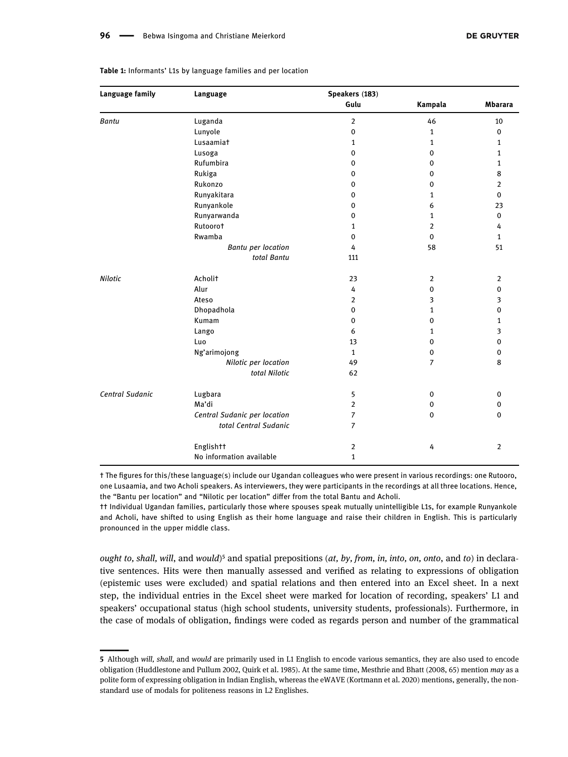| Language family | Language                     | Speakers (183) |                |                |  |
|-----------------|------------------------------|----------------|----------------|----------------|--|
|                 |                              | Gulu           | Kampala        | <b>Mbarara</b> |  |
| <b>Bantu</b>    | Luganda                      | $\overline{2}$ | 46             | 10             |  |
|                 | Lunyole                      | $\pmb{0}$      | $\mathbf{1}$   | $\mathbf 0$    |  |
|                 | Lusaamiat                    | 1              | 1              | $\mathbf{1}$   |  |
|                 | Lusoga                       | $\mathbf 0$    | $\mathbf 0$    | 1              |  |
|                 | Rufumbira                    | 0              | $\mathbf 0$    | $\mathbf{1}$   |  |
|                 | Rukiga                       | $\mathbf 0$    | $\mathbf 0$    | 8              |  |
|                 | Rukonzo                      | $\pmb{0}$      | $\pmb{0}$      | $\overline{2}$ |  |
|                 | Runyakitara                  | $\pmb{0}$      | 1              | $\mathbf 0$    |  |
|                 | Runyankole                   | $\pmb{0}$      | 6              | 23             |  |
|                 | Runyarwanda                  | $\mathbf 0$    | 1              | $\mathbf 0$    |  |
|                 | Rutoorot                     | $\mathbf{1}$   | $\overline{2}$ | 4              |  |
|                 | Rwamba                       | $\pmb{0}$      | $\mathbf 0$    | $\mathbf{1}$   |  |
|                 | <b>Bantu per location</b>    | 4              | 58             | 51             |  |
|                 | total Bantu                  | 111            |                |                |  |
| <b>Nilotic</b>  | Acholit                      | 23             | $\overline{2}$ | $\overline{2}$ |  |
|                 | Alur                         | 4              | $\mathbf 0$    | $\mathbf 0$    |  |
|                 | Ateso                        | $\overline{2}$ | 3              | 3              |  |
|                 | Dhopadhola                   | $\mathbf 0$    | 1              | $\mathbf 0$    |  |
|                 | Kumam                        | $\mathbf 0$    | $\mathbf 0$    | 1              |  |
|                 | Lango                        | 6              | 1              | 3              |  |
|                 | Luo                          | 13             | $\mathbf 0$    | $\mathbf 0$    |  |
|                 | Ng'arimojong                 | $\mathbf{1}$   | $\mathbf 0$    | $\mathbf 0$    |  |
|                 | Nilotic per location         | 49             | $\overline{7}$ | 8              |  |
|                 | total Nilotic                | 62             |                |                |  |
| Central Sudanic | Lugbara                      | 5              | $\pmb{0}$      | $\mathbf 0$    |  |
|                 | Ma'di                        | $\overline{2}$ | $\pmb{0}$      | $\mathbf 0$    |  |
|                 | Central Sudanic per location | $\overline{7}$ | $\mathbf 0$    | $\mathbf 0$    |  |
|                 | total Central Sudanic        | 7              |                |                |  |
|                 | Englishtt                    | $\overline{2}$ | 4              | $\overline{2}$ |  |
|                 | No information available     | 1              |                |                |  |

#### <span id="page-9-0"></span>Table 1: Informants' L1s by language families and per location

† The figures for this/these language(s) include our Ugandan colleagues who were present in various recordings: one Rutooro, one Lusaamia, and two Acholi speakers. As interviewers, they were participants in the recordings at all three locations. Hence, the "Bantu per location" and "Nilotic per location" differ from the total Bantu and Acholi.

†† Individual Ugandan families, particularly those where spouses speak mutually unintelligible L1s, for example Runyankole and Acholi, have shifted to using English as their home language and raise their children in English. This is particularly pronounced in the upper middle class.

ought to, shall, will, and would)<sup>5</sup> and spatial prepositions (at, by, from, in, into, on, onto, and to) in declarative sentences. Hits were then manually assessed and verified as relating to expressions of obligation (epistemic uses were excluded) and spatial relations and then entered into an Excel sheet. In a next step, the individual entries in the Excel sheet were marked for location of recording, speakers' L1 and speakers' occupational status (high school students, university students, professionals). Furthermore, in the case of modals of obligation, findings were coded as regards person and number of the grammatical

<span id="page-9-1"></span>

<sup>5</sup> Although will, shall, and would are primarily used in L1 English to encode various semantics, they are also used to encode obligation (Huddlestone and Pullum [2002,](#page-18-19) Quirk et al. [1985](#page-19-25)). At the same time, Mesthrie and Bhatt ([2008,](#page-19-26) 65) mention may as a polite form of expressing obligation in Indian English, whereas the eWAVE (Kortmann et al. [2020](#page-19-27)) mentions, generally, the nonstandard use of modals for politeness reasons in L2 Englishes.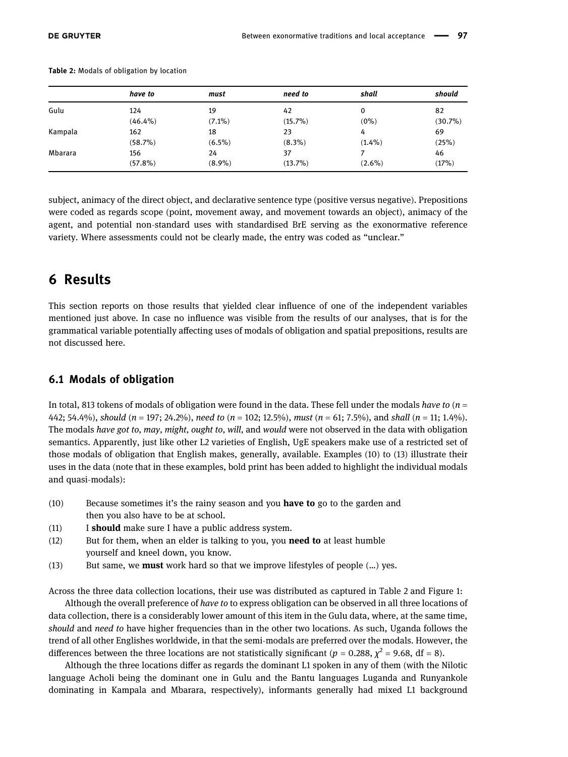|         | have to    | must      | need to    | shall     | should  |
|---------|------------|-----------|------------|-----------|---------|
| Gulu    | 124        | 19        | 42         | 0         | 82      |
|         | $(46.4\%)$ | $(7.1\%)$ | $(15.7\%)$ | (0%)      | (30.7%) |
| Kampala | 162        | 18        | 23         | 4         | 69      |
|         | (58.7%)    | $(6.5\%)$ | $(8.3\%)$  | $(1.4\%)$ | (25%)   |
| Mbarara | 156        | 24        | 37         |           | 46      |
|         | $(57.8\%)$ | $(8.9\%)$ | (13.7%)    | $(2.6\%)$ | (17%)   |

<span id="page-10-0"></span>Table 2: Modals of obligation by location

subject, animacy of the direct object, and declarative sentence type (positive versus negative). Prepositions were coded as regards scope (point, movement away, and movement towards an object), animacy of the agent, and potential non-standard uses with standardised BrE serving as the exonormative reference variety. Where assessments could not be clearly made, the entry was coded as "unclear."

# 6 Results

This section reports on those results that yielded clear influence of one of the independent variables mentioned just above. In case no influence was visible from the results of our analyses, that is for the grammatical variable potentially affecting uses of modals of obligation and spatial prepositions, results are not discussed here.

#### 6.1 Modals of obligation

In total, 813 tokens of modals of obligation were found in the data. These fell under the modals have to  $(n = 1, 2)$ 442; 54.4%), should (n = 197; 24.2%), need to (n = 102; 12.5%), must (n = 61; 7.5%), and shall (n = 11; 1.4%). The modals have got to, may, might, ought to, will, and would were not observed in the data with obligation semantics. Apparently, just like other L2 varieties of English, UgE speakers make use of a restricted set of those modals of obligation that English makes, generally, available. Examples (10) to (13) illustrate their uses in the data (note that in these examples, bold print has been added to highlight the individual modals and quasi-modals):

- $(10)$  Because sometimes it's the rainy season and you **have to** go to the garden and then you also have to be at school.
- (11) I should make sure I have a public address system.
- $(12)$  But for them, when an elder is talking to you, you **need to** at least humble yourself and kneel down, you know.
- (13) But same, we **must** work hard so that we improve lifestyles of people  $(\ldots)$  yes.

Across the three data collection locations, their use was distributed as captured in [Table 2](#page-10-0) and [Figure 1](#page-11-0):

Although the overall preference of have to to express obligation can be observed in all three locations of data collection, there is a considerably lower amount of this item in the Gulu data, where, at the same time, should and need to have higher frequencies than in the other two locations. As such, Uganda follows the trend of all other Englishes worldwide, in that the semi-modals are preferred over the modals. However, the differences between the three locations are not statistically significant ( $p = 0.288$ ,  $\chi^2 = 9.68$ , df = 8).

Although the three locations differ as regards the dominant L1 spoken in any of them (with the Nilotic language Acholi being the dominant one in Gulu and the Bantu languages Luganda and Runyankole dominating in Kampala and Mbarara, respectively), informants generally had mixed L1 background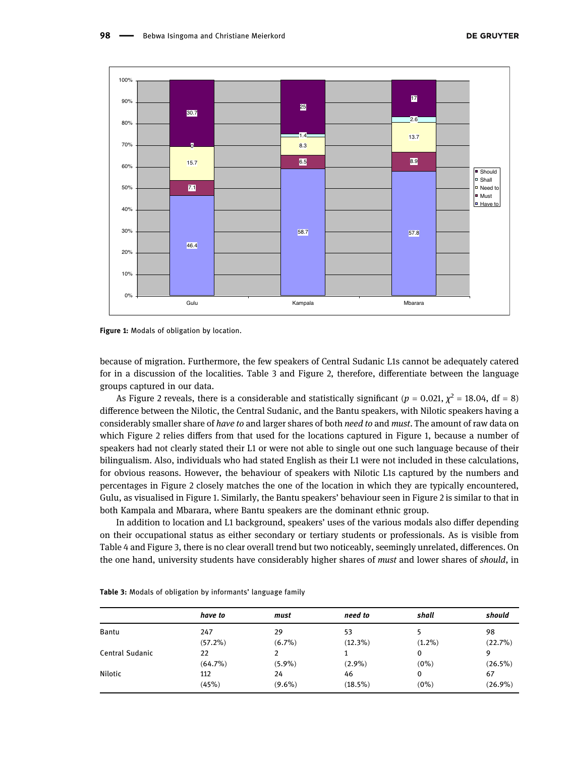<span id="page-11-0"></span>



because of migration. Furthermore, the few speakers of Central Sudanic L1s cannot be adequately catered for in a discussion of the localities. [Table 3](#page-11-1) and [Figure 2](#page-12-0), therefore, differentiate between the language groups captured in our data.

As [Figure 2](#page-12-0) reveals, there is a considerable and statistically significant ( $p = 0.021$ ,  $\chi^2 = 18.04$ , df = 8) difference between the Nilotic, the Central Sudanic, and the Bantu speakers, with Nilotic speakers having a considerably smaller share of have to and larger shares of both need to and must. The amount of raw data on which [Figure 2](#page-12-0) relies differs from that used for the locations captured in [Figure 1](#page-11-0), because a number of speakers had not clearly stated their L1 or were not able to single out one such language because of their bilingualism. Also, individuals who had stated English as their L1 were not included in these calculations, for obvious reasons. However, the behaviour of speakers with Nilotic L1s captured by the numbers and percentages in [Figure 2](#page-12-0) closely matches the one of the location in which they are typically encountered, Gulu, as visualised in [Figure 1](#page-11-0). Similarly, the Bantu speakers' behaviour seen in [Figure 2](#page-12-0) is similar to that in both Kampala and Mbarara, where Bantu speakers are the dominant ethnic group.

In addition to location and L1 background, speakers' uses of the various modals also differ depending on their occupational status as either secondary or tertiary students or professionals. As is visible from [Table 4](#page-12-1) and [Figure 3,](#page-13-0) there is no clear overall trend but two noticeably, seemingly unrelated, differences. On the one hand, university students have considerably higher shares of must and lower shares of should, in

|                 | have to    | must      | need to    | shall     | should     |
|-----------------|------------|-----------|------------|-----------|------------|
| Bantu           | 247        | 29        | 53         |           | 98         |
|                 | $(57.2\%)$ | $(6.7\%)$ | $(12.3\%)$ | $(1.2\%)$ | (22.7%)    |
| Central Sudanic | 22         |           |            | 0         | 9          |
|                 | $(64.7\%)$ | $(5.9\%)$ | $(2.9\%)$  | $(0\%)$   | $(26.5\%)$ |
| Nilotic         | 112        | 24        | 46         | 0         | 67         |
|                 | (45%)      | $(9.6\%)$ | $(18.5\%)$ | $(0\%)$   | $(26.9\%)$ |

<span id="page-11-1"></span>Table 3: Modals of obligation by informants' language family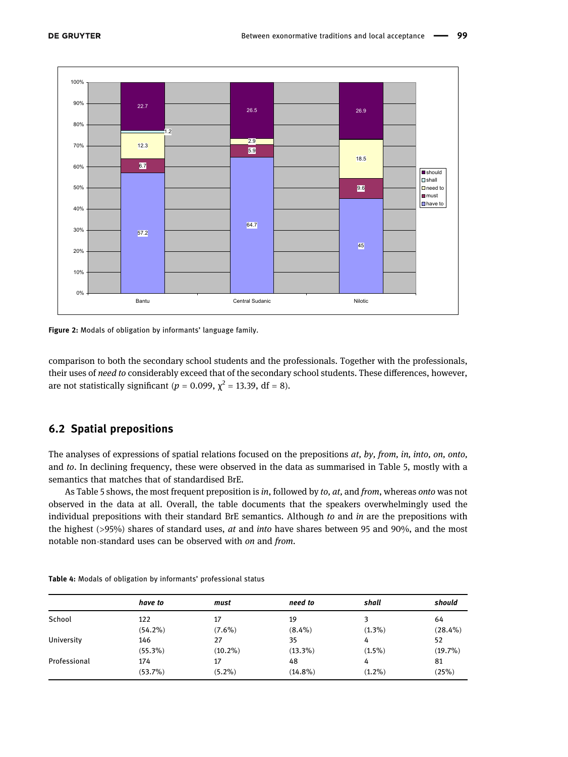<span id="page-12-0"></span>

Figure 2: Modals of obligation by informants' language family.

comparison to both the secondary school students and the professionals. Together with the professionals, their uses of need to considerably exceed that of the secondary school students. These differences, however, are not statistically significant ( $p = 0.099$ ,  $\chi^2 = 13.39$ , df = 8).

#### 6.2 Spatial prepositions

The analyses of expressions of spatial relations focused on the prepositions  $at$ , by, from, in, into, on, onto, and to. In declining frequency, these were observed in the data as summarised in [Table 5,](#page-13-1) mostly with a semantics that matches that of standardised BrE.

As [Table 5](#page-13-1) shows, the most frequent preposition is in, followed by to, at, and from, whereas onto was not observed in the data at all. Overall, the table documents that the speakers overwhelmingly used the individual prepositions with their standard BrE semantics. Although to and in are the prepositions with the highest (>95%) shares of standard uses, *at* and *into* have shares between 95 and 90%, and the most notable non-standard uses can be observed with on and from.

|              | have to    | must       | need to    | shall     | should     |
|--------------|------------|------------|------------|-----------|------------|
| School       | 122        | 17         | 19         | ີ         | 64         |
|              | $(54.2\%)$ | $(7.6\%)$  | $(8.4\%)$  | $(1.3\%)$ | $(28.4\%)$ |
| University   | 146        | 27         | 35         | 4         | 52         |
|              | $(55.3\%)$ | $(10.2\%)$ | $(13.3\%)$ | $(1.5\%)$ | $(19.7\%)$ |
| Professional | 174        | 17         | 48         | 4         | 81         |
|              | (53.7%)    | $(5.2\%)$  | $(14.8\%)$ | $(1.2\%)$ | (25%)      |

<span id="page-12-1"></span>Table 4: Modals of obligation by informants' professional status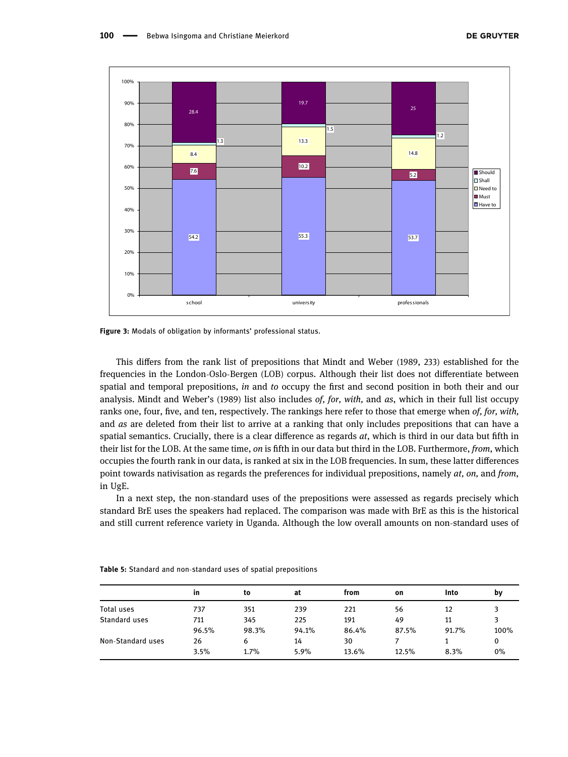<span id="page-13-0"></span>

Figure 3: Modals of obligation by informants' professional status.

This differs from the rank list of prepositions that Mindt and Weber ([1989](#page-19-28), 233) established for the frequencies in the London-Oslo-Bergen (LOB) corpus. Although their list does not differentiate between spatial and temporal prepositions, in and to occupy the first and second position in both their and our analysis. Mindt and Weber's ([1989](#page-19-28)) list also includes of, for, with, and as, which in their full list occupy ranks one, four, five, and ten, respectively. The rankings here refer to those that emerge when of, for, with, and *as* are deleted from their list to arrive at a ranking that only includes prepositions that can have a spatial semantics. Crucially, there is a clear difference as regards  $at$ , which is third in our data but fifth in their list for the LOB. At the same time, on is fifth in our data but third in the LOB. Furthermore, from, which occupies the fourth rank in our data, is ranked at six in the LOB frequencies. In sum, these latter differences point towards nativisation as regards the preferences for individual prepositions, namely *at*, *on*, and *from*, in UgE.

In a next step, the non-standard uses of the prepositions were assessed as regards precisely which standard BrE uses the speakers had replaced. The comparison was made with BrE as this is the historical and still current reference variety in Uganda. Although the low overall amounts on non-standard uses of

|                   | in    | to    | at    | from  | on    | Into  | bν    |
|-------------------|-------|-------|-------|-------|-------|-------|-------|
| Total uses        | 737   | 351   | 239   | 221   | 56    | 12    |       |
| Standard uses     | 711   | 345   | 225   | 191   | 49    | 11    |       |
|                   | 96.5% | 98.3% | 94.1% | 86.4% | 87.5% | 91.7% | 100%  |
| Non-Standard uses | 26    | 6     | 14    | 30    |       |       | 0     |
|                   | 3.5%  | 1.7%  | 5.9%  | 13.6% | 12.5% | 8.3%  | $0\%$ |

<span id="page-13-1"></span>Table 5: Standard and non-standard uses of spatial prepositions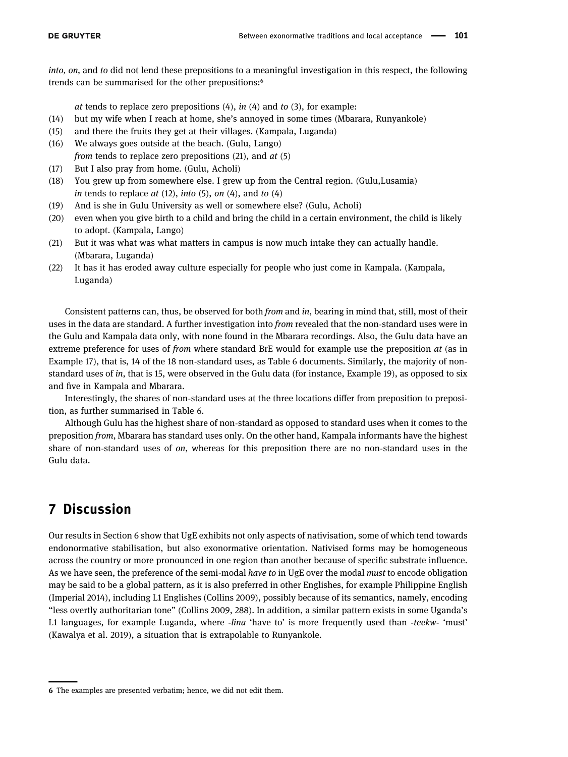into, on, and to did not lend these prepositions to a meaningful investigation in this respect, the following trends can be summarised for the other prepositions:<sup>6</sup>

at tends to replace zero prepositions  $(4)$ , in  $(4)$  and to  $(3)$ , for example:

- (14) but my wife when I reach at home, she's annoyed in some times (Mbarara, Runyankole)
- (15) and there the fruits they get at their villages. (Kampala, Luganda)
- (16) We always goes outside at the beach. (Gulu, Lango) from tends to replace zero prepositions  $(21)$ , and  $at(5)$
- (17) But I also pray from home. (Gulu, Acholi)
- (18) You grew up from somewhere else. I grew up from the Central region. (Gulu,Lusamia) in tends to replace  $at$  (12), into (5), on (4), and to (4)
- (19) And is she in Gulu University as well or somewhere else? (Gulu, Acholi)
- (20) even when you give birth to a child and bring the child in a certain environment, the child is likely to adopt. (Kampala, Lango)
- (21) But it was what was what matters in campus is now much intake they can actually handle. (Mbarara, Luganda)
- (22) It has it has eroded away culture especially for people who just come in Kampala. (Kampala, Luganda)

Consistent patterns can, thus, be observed for both from and in, bearing in mind that, still, most of their uses in the data are standard. A further investigation into *from* revealed that the non-standard uses were in the Gulu and Kampala data only, with none found in the Mbarara recordings. Also, the Gulu data have an extreme preference for uses of from where standard BrE would for example use the preposition at (as in Example 17), that is, 14 of the 18 non-standard uses, as [Table 6](#page-15-0) documents. Similarly, the majority of nonstandard uses of in, that is 15, were observed in the Gulu data (for instance, Example 19), as opposed to six and five in Kampala and Mbarara.

Interestingly, the shares of non-standard uses at the three locations differ from preposition to preposition, as further summarised in [Table 6.](#page-15-0)

Although Gulu has the highest share of non-standard as opposed to standard uses when it comes to the preposition from, Mbarara has standard uses only. On the other hand, Kampala informants have the highest share of non-standard uses of on, whereas for this preposition there are no non-standard uses in the Gulu data.

# 7 Discussion

<span id="page-14-0"></span>

Our results in Section [6](#page-5-1) show that UgE exhibits not only aspects of nativisation, some of which tend towards endonormative stabilisation, but also exonormative orientation. Nativised forms may be homogeneous across the country or more pronounced in one region than another because of specific substrate influence. As we have seen, the preference of the semi-modal have to in UgE over the modal must to encode obligation may be said to be a global pattern, as it is also preferred in other Englishes, for example Philippine English (Imperial [2014](#page-18-9)), including L1 Englishes (Collins [2009](#page-18-8)), possibly because of its semantics, namely, encoding "less overtly authoritarian tone" (Collins [2009](#page-18-8), 288). In addition, a similar pattern exists in some Uganda's L1 languages, for example Luganda, where -lina 'have to' is more frequently used than -teekw- 'must' (Kawalya et al. [2019](#page-19-13)), a situation that is extrapolable to Runyankole.

<sup>6</sup> The examples are presented verbatim; hence, we did not edit them.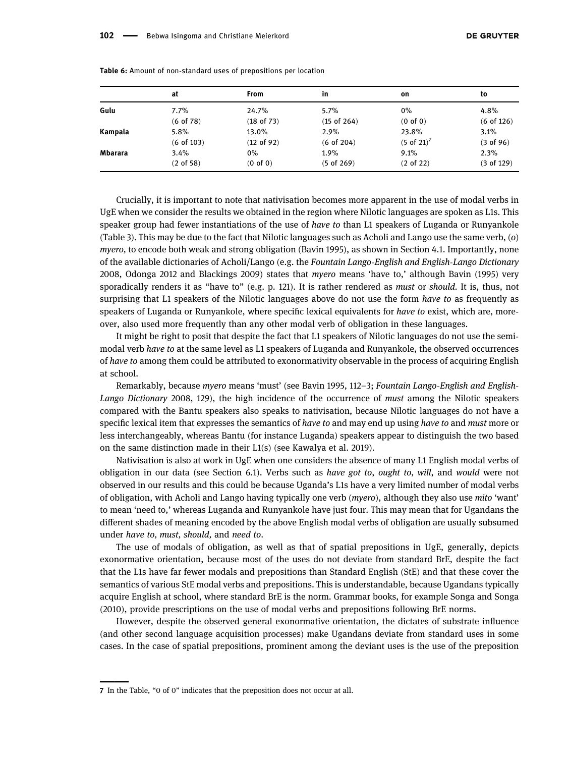|         | at           | <b>From</b>         | in              | on                     | to           |
|---------|--------------|---------------------|-----------------|------------------------|--------------|
| Gulu    | 7.7%         | 24.7%               | $5.7\%$         | $0\%$                  | 4.8%         |
|         | (6 of 78)    | (18 of 73)          | $(15$ of $264)$ | $(0 \text{ of } 0)$    | $(6$ of 126) |
| Kampala | 5.8%         | 13.0%               | 2.9%            | 23.8%                  | 3.1%         |
|         | $(6$ of 103) | $(12$ of 92)        | $(6$ of 204)    | $(5 \text{ of } 21)^7$ | (3 of 96)    |
| Mbarara | 3.4%         | 0%                  | $1.9\%$         | 9.1%                   | 2.3%         |
|         | (2 of 58)    | $(0 \text{ of } 0)$ | $(5$ of 269)    | $(2 \text{ of } 22)$   | (3 of 129)   |

<span id="page-15-0"></span>Table 6: Amount of non-standard uses of prepositions per location

Crucially, it is important to note that nativisation becomes more apparent in the use of modal verbs in UgE when we consider the results we obtained in the region where Nilotic languages are spoken as L1s. This speaker group had fewer instantiations of the use of *have to* than L1 speakers of Luganda or Runyankole ([Table 3](#page-11-1)). This may be due to the fact that Nilotic languages such as Acholi and Lango use the same verb, (o) myero, to encode both weak and strong obligation (Bavin [1995](#page-18-7)), as shown in Section [4.1](#page-2-0). Importantly, none of the available dictionaries of Acholi/Lango (e.g. the Fountain Lango-English and English-Lango Dictionary [2008](#page-18-20), Odonga [2012](#page-19-15) and Blackings [2009](#page-18-13)) states that myero means 'have to,' although Bavin ([1995](#page-18-7)) very sporadically renders it as "have to" (e.g. p. 121). It is rather rendered as must or should. It is, thus, not surprising that L1 speakers of the Nilotic languages above do not use the form have to as frequently as speakers of Luganda or Runyankole, where specific lexical equivalents for have to exist, which are, moreover, also used more frequently than any other modal verb of obligation in these languages.

It might be right to posit that despite the fact that L1 speakers of Nilotic languages do not use the semimodal verb have to at the same level as L1 speakers of Luganda and Runyankole, the observed occurrences of have to among them could be attributed to exonormativity observable in the process of acquiring English at school.

Remarkably, because myero means 'must' (see Bavin [1995](#page-18-7), 112–3; Fountain Lango-English and English-Lango Dictionary [2008,](#page-18-20) 129), the high incidence of the occurrence of must among the Nilotic speakers compared with the Bantu speakers also speaks to nativisation, because Nilotic languages do not have a specific lexical item that expresses the semantics of have to and may end up using have to and must more or less interchangeably, whereas Bantu (for instance Luganda) speakers appear to distinguish the two based on the same distinction made in their L1(s) (see Kawalya et al. [2019](#page-19-13)).

Nativisation is also at work in UgE when one considers the absence of many L1 English modal verbs of obligation in our data (see Section [6.1](#page-5-2)). Verbs such as have got to, ought to, will, and would were not observed in our results and this could be because Uganda's L1s have a very limited number of modal verbs of obligation, with Acholi and Lango having typically one verb (myero), although they also use mito 'want' to mean 'need to,' whereas Luganda and Runyankole have just four. This may mean that for Ugandans the different shades of meaning encoded by the above English modal verbs of obligation are usually subsumed under have to, must, should, and need to.

The use of modals of obligation, as well as that of spatial prepositions in UgE, generally, depicts exonormative orientation, because most of the uses do not deviate from standard BrE, despite the fact that the L1s have far fewer modals and prepositions than Standard English (StE) and that these cover the semantics of various StE modal verbs and prepositions. This is understandable, because Ugandans typically acquire English at school, where standard BrE is the norm. Grammar books, for example Songa and Songa ([2010](#page-19-29)), provide prescriptions on the use of modal verbs and prepositions following BrE norms.

However, despite the observed general exonormative orientation, the dictates of substrate influence (and other second language acquisition processes) make Ugandans deviate from standard uses in some cases. In the case of spatial prepositions, prominent among the deviant uses is the use of the preposition

<sup>7</sup> In the Table, "0 of 0" indicates that the preposition does not occur at all.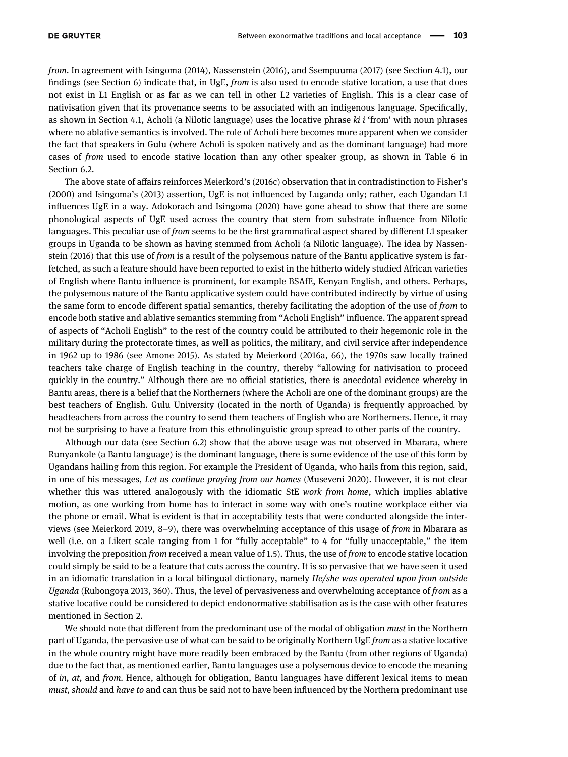from. In agreement with Isingoma ([2014](#page-18-4)), Nassenstein ([2016](#page-19-6)), and Ssempuuma (2017) (see Section [4.1](#page-2-0)), our findings (see Section [6](#page-5-1)) indicate that, in UgE, from is also used to encode stative location, a use that does not exist in L1 English or as far as we can tell in other L2 varieties of English. This is a clear case of nativisation given that its provenance seems to be associated with an indigenous language. Specifically, as shown in Section [4.1](#page-2-0), Acholi (a Nilotic language) uses the locative phrase ki i 'from' with noun phrases where no ablative semantics is involved. The role of Acholi here becomes more apparent when we consider the fact that speakers in Gulu (where Acholi is spoken natively and as the dominant language) had more cases of from used to encode stative location than any other speaker group, as shown in [Table 6](#page-15-0) in Section 6.2.

The above state of affairs reinforces Meierkord's ([2016c](#page-19-30)) observation that in contradistinction to Fisher's ([2000](#page-18-2)) and Isingoma's ([2013](#page-18-3)) assertion, UgE is not influenced by Luganda only; rather, each Ugandan L1 influences UgE in a way. Adokorach and Isingoma ([2020](#page-18-21)) have gone ahead to show that there are some phonological aspects of UgE used across the country that stem from substrate influence from Nilotic languages. This peculiar use of from seems to be the first grammatical aspect shared by different L1 speaker groups in Uganda to be shown as having stemmed from Acholi (a Nilotic language). The idea by Nassenstein ([2016](#page-19-6)) that this use of from is a result of the polysemous nature of the Bantu applicative system is farfetched, as such a feature should have been reported to exist in the hitherto widely studied African varieties of English where Bantu influence is prominent, for example BSAfE, Kenyan English, and others. Perhaps, the polysemous nature of the Bantu applicative system could have contributed indirectly by virtue of using the same form to encode different spatial semantics, thereby facilitating the adoption of the use of from to encode both stative and ablative semantics stemming from "Acholi English" influence. The apparent spread of aspects of "Acholi English" to the rest of the country could be attributed to their hegemonic role in the military during the protectorate times, as well as politics, the military, and civil service after independence in 1962 up to 1986 (see Amone [2015](#page-18-22)). As stated by Meierkord ([2016a](#page-19-3), 66), the 1970s saw locally trained teachers take charge of English teaching in the country, thereby "allowing for nativisation to proceed quickly in the country." Although there are no official statistics, there is anecdotal evidence whereby in Bantu areas, there is a belief that the Northerners (where the Acholi are one of the dominant groups) are the best teachers of English. Gulu University (located in the north of Uganda) is frequently approached by headteachers from across the country to send them teachers of English who are Northerners. Hence, it may not be surprising to have a feature from this ethnolinguistic group spread to other parts of the country.

Although our data (see Section 6.2) show that the above usage was not observed in Mbarara, where Runyankole (a Bantu language) is the dominant language, there is some evidence of the use of this form by Ugandans hailing from this region. For example the President of Uganda, who hails from this region, said, in one of his messages, Let us continue praying from our homes (Museveni [2020](#page-19-31)). However, it is not clear whether this was uttered analogously with the idiomatic StE work from home, which implies ablative motion, as one working from home has to interact in some way with one's routine workplace either via the phone or email. What is evident is that in acceptability tests that were conducted alongside the interviews (see Meierkord [2019](#page-19-32), 8–9), there was overwhelming acceptance of this usage of from in Mbarara as well (i.e. on a Likert scale ranging from 1 for "fully acceptable" to 4 for "fully unacceptable," the item involving the preposition from received a mean value of 1.5). Thus, the use of from to encode stative location could simply be said to be a feature that cuts across the country. It is so pervasive that we have seen it used in an idiomatic translation in a local bilingual dictionary, namely He/she was operated upon from outside Uganda (Rubongoya [2013](#page-19-33), 360). Thus, the level of pervasiveness and overwhelming acceptance of from as a stative locative could be considered to depict endonormative stabilisation as is the case with other features mentioned in Section [2.](#page-0-0)

We should note that different from the predominant use of the modal of obligation *must* in the Northern part of Uganda, the pervasive use of what can be said to be originally Northern UgE from as a stative locative in the whole country might have more readily been embraced by the Bantu (from other regions of Uganda) due to the fact that, as mentioned earlier, Bantu languages use a polysemous device to encode the meaning of in, at, and from. Hence, although for obligation, Bantu languages have different lexical items to mean must, should and have to and can thus be said not to have been influenced by the Northern predominant use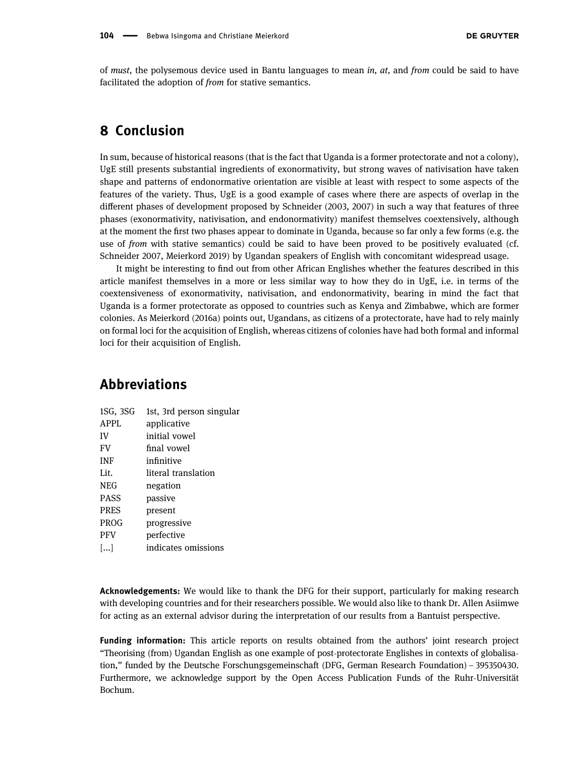of must, the polysemous device used in Bantu languages to mean in,  $at$ , and from could be said to have facilitated the adoption of from for stative semantics.

## 8 Conclusion

In sum, because of historical reasons (that is the fact that Uganda is a former protectorate and not a colony), UgE still presents substantial ingredients of exonormativity, but strong waves of nativisation have taken shape and patterns of endonormative orientation are visible at least with respect to some aspects of the features of the variety. Thus, UgE is a good example of cases where there are aspects of overlap in the different phases of development proposed by Schneider ([2003,](#page-19-0) [2007](#page-19-1)) in such a way that features of three phases (exonormativity, nativisation, and endonormativity) manifest themselves coextensively, although at the moment the first two phases appear to dominate in Uganda, because so far only a few forms (e.g. the use of from with stative semantics) could be said to have been proved to be positively evaluated (cf. Schneider [2007,](#page-19-1) Meierkord [2019](#page-19-32)) by Ugandan speakers of English with concomitant widespread usage.

It might be interesting to find out from other African Englishes whether the features described in this article manifest themselves in a more or less similar way to how they do in UgE, i.e. in terms of the coextensiveness of exonormativity, nativisation, and endonormativity, bearing in mind the fact that Uganda is a former protectorate as opposed to countries such as Kenya and Zimbabwe, which are former colonies. As Meierkord ([2016a](#page-19-3)) points out, Ugandans, as citizens of a protectorate, have had to rely mainly on formal loci for the acquisition of English, whereas citizens of colonies have had both formal and informal loci for their acquisition of English.

### Abbreviations

| 1SG, 3SG          | 1st, 3rd person singular |
|-------------------|--------------------------|
| <b>APPL</b>       | applicative              |
| IV                | initial vowel            |
| FV                | final vowel              |
| <b>INF</b>        | infinitive               |
| Lit.              | literal translation      |
| NEG               | negation                 |
| <b>PASS</b>       | passive                  |
| <b>PRES</b>       | present                  |
| <b>PROG</b>       | progressive              |
| <b>PFV</b>        | perfective               |
| $\left[  \right]$ | indicates omissions      |

Acknowledgements: We would like to thank the DFG for their support, particularly for making research with developing countries and for their researchers possible. We would also like to thank Dr. Allen Asiimwe for acting as an external advisor during the interpretation of our results from a Bantuist perspective.

Funding information: This article reports on results obtained from the authors' joint research project "Theorising (from) Ugandan English as one example of post-protectorate Englishes in contexts of globalisation," funded by the Deutsche Forschungsgemeinschaft (DFG, German Research Foundation) – 395350430. Furthermore, we acknowledge support by the Open Access Publication Funds of the Ruhr-Universität Bochum.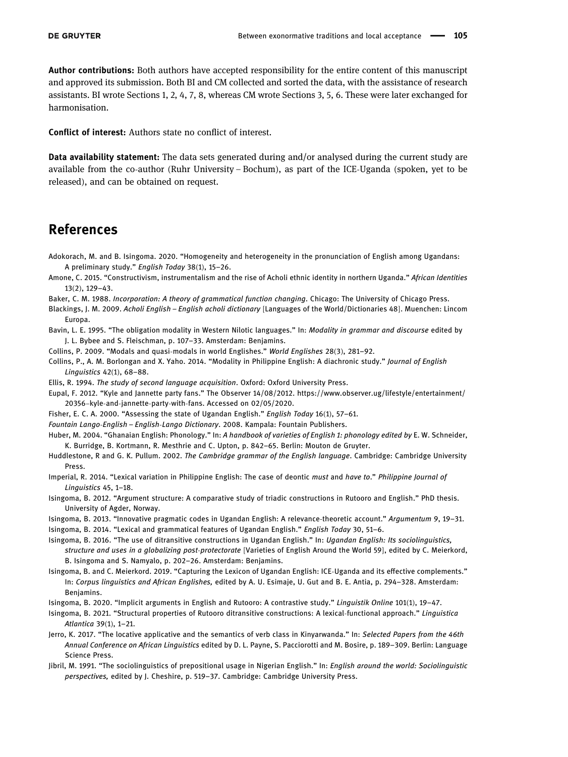Author contributions: Both authors have accepted responsibility for the entire content of this manuscript and approved its submission. Both BI and CM collected and sorted the data, with the assistance of research assistants. BI wrote Sections 1, 2, 4, 7, 8, whereas CM wrote Sections 3, 5, 6. These were later exchanged for harmonisation.

Conflict of interest: Authors state no conflict of interest.

**Data availability statement:** The data sets generated during and/or analysed during the current study are available from the co-author (Ruhr University – Bochum), as part of the ICE-Uganda (spoken, yet to be released), and can be obtained on request.

### References

- <span id="page-18-21"></span>Adokorach, M. and B. Isingoma. 2020. "Homogeneity and heterogeneity in the pronunciation of English among Ugandans: A preliminary study." English Today 38(1), 15–26.
- <span id="page-18-22"></span>Amone, C. 2015. "Constructivism, instrumentalism and the rise of Acholi ethnic identity in northern Uganda." African Identities 13(2), 129–43.
- <span id="page-18-15"></span>Baker, C. M. 1988. Incorporation: A theory of grammatical function changing. Chicago: The University of Chicago Press.
- <span id="page-18-13"></span>Blackings, J. M. 2009. Acholi English – English acholi dictionary [Languages of the World/Dictionaries 48]. Muenchen: Lincom Europa.
- <span id="page-18-7"></span>Bavin, L. E. 1995. "The obligation modality in Western Nilotic languages." In: Modality in grammar and discourse edited by J. L. Bybee and S. Fleischman, p. 107–33. Amsterdam: Benjamins.
- <span id="page-18-8"></span>Collins, P. 2009. "Modals and quasi-modals in world Englishes." World Englishes 28(3), 281–92.
- <span id="page-18-10"></span>Collins, P., A. M. Borlongan and X. Yaho. 2014. "Modality in Philippine English: A diachronic study." Journal of English Linguistics 42(1), 68–88.
- <span id="page-18-18"></span>Ellis, R. 1994. The study of second language acquisition. Oxford: Oxford University Press.
- <span id="page-18-5"></span>Eupal, F. 2012. "Kyle and Jannette party fans." The Observer 14/08/2012. [https://www.observer.ug/lifestyle/entertainment/](https://www.observer.ug/lifestyle/entertainment/20356--kyle-and-jannette-party-with-fans) 20356–kyle-and-[jannette](https://www.observer.ug/lifestyle/entertainment/20356--kyle-and-jannette-party-with-fans)-party-with-fans. Accessed on 02/05/2020.
- <span id="page-18-2"></span>Fisher, E. C. A. 2000. "Assessing the state of Ugandan English." English Today 16(1), 57–61.
- <span id="page-18-20"></span>Fountain Lango-English – English-Lango Dictionary. 2008. Kampala: Fountain Publishers.
- <span id="page-18-0"></span>Huber, M. 2004. "Ghanaian English: Phonology." In: A handbook of varieties of English 1: phonology edited by E. W. Schneider, K. Burridge, B. Kortmann, R. Mesthrie and C. Upton, p. 842–65. Berlin: Mouton de Gruyter.
- <span id="page-18-19"></span>Huddlestone, R and G. K. Pullum. 2002. The Cambridge grammar of the English language. Cambridge: Cambridge University Press.
- <span id="page-18-9"></span>Imperial, R. 2014. "Lexical variation in Philippine English: The case of deontic must and have to." Philippine Journal of Linguistics 45, 1–18.
- <span id="page-18-11"></span>Isingoma, B. 2012. "Argument structure: A comparative study of triadic constructions in Rutooro and English." PhD thesis. University of Agder, Norway.
- <span id="page-18-3"></span>Isingoma, B. 2013. "Innovative pragmatic codes in Ugandan English: A relevance-theoretic account." Argumentum 9, 19–31.
- <span id="page-18-4"></span>Isingoma, B. 2014. "Lexical and grammatical features of Ugandan English." English Today 30, 51–6.
- <span id="page-18-6"></span>Isingoma, B. 2016. "The use of ditransitive constructions in Ugandan English." In: Ugandan English: Its sociolinguistics, structure and uses in a globalizing post-protectorate [Varieties of English Around the World 59], edited by C. Meierkord, B. Isingoma and S. Namyalo, p. 202–26. Amsterdam: Benjamins.
- <span id="page-18-1"></span>Isingoma, B. and C. Meierkord. 2019. "Capturing the Lexicon of Ugandan English: ICE-Uganda and its effective complements." In: Corpus linguistics and African Englishes, edited by A. U. Esimaje, U. Gut and B. E. Antia, p. 294–328. Amsterdam: Benjamins.
- <span id="page-18-14"></span>Isingoma, B. 2020. "Implicit arguments in English and Rutooro: A contrastive study." Linguistik Online 101(1), 19–47.
- <span id="page-18-12"></span>Isingoma, B. 2021. "Structural properties of Rutooro ditransitive constructions: A lexical-functional approach." Linguistica Atlantica 39(1), 1–21.
- <span id="page-18-16"></span>Jerro, K. 2017. "The locative applicative and the semantics of verb class in Kinyarwanda." In: Selected Papers from the 46th Annual Conference on African Linguistics edited by D. L. Payne, S. Pacciorotti and M. Bosire, p. 189–309. Berlin: Language Science Press.
- <span id="page-18-17"></span>Jibril, M. 1991. "The sociolinguistics of prepositional usage in Nigerian English." In: English around the world: Sociolinguistic perspectives, edited by J. Cheshire, p. 519–37. Cambridge: Cambridge University Press.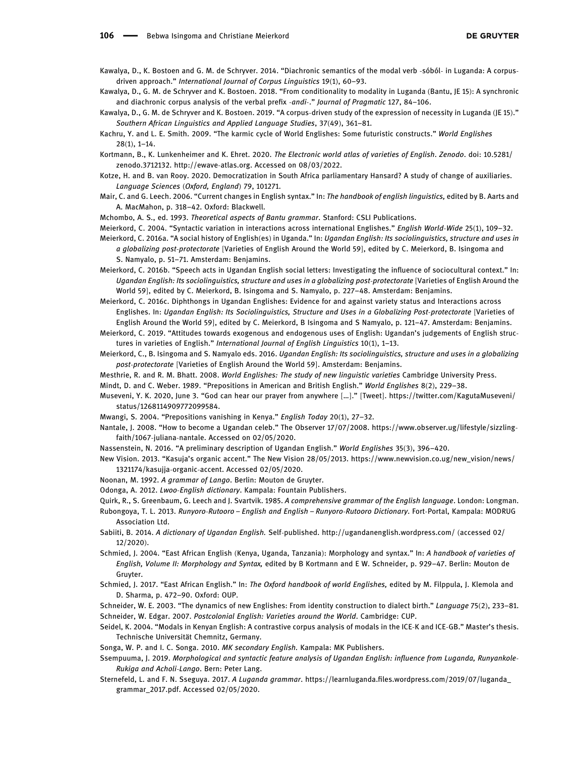- <span id="page-19-14"></span>Kawalya, D., K. Bostoen and G. M. de Schryver. 2014. "Diachronic semantics of the modal verb -sóból- in Luganda: A corpusdriven approach." International Journal of Corpus Linguistics 19(1), 60–93.
- <span id="page-19-12"></span>Kawalya, D., G. M. de Schryver and K. Bostoen. 2018. "From conditionality to modality in Luganda (Bantu, JE 15): A synchronic and diachronic corpus analysis of the verbal prefix -andi-." Journal of Pragmatic 127, 84–106.
- <span id="page-19-13"></span>Kawalya, D., G. M. de Schryver and K. Bostoen. 2019. "A corpus-driven study of the expression of necessity in Luganda (JE 15)." Southern African Linguistics and Applied Language Studies, 37(49), 361–81.
- <span id="page-19-2"></span>Kachru, Y. and L. E. Smith. 2009. "The karmic cycle of World Englishes: Some futuristic constructs." World Englishes 28(1), 1–14.

<span id="page-19-27"></span>Kortmann, B., K. Lunkenheimer and K. Ehret. 2020. The Electronic world atlas of varieties of English. Zenodo. doi: 10.5281/ zenodo.3712132. [http://ewave](http://ewave-atlas.org)-atlas.org. Accessed on 08/03/2022.

- <span id="page-19-17"></span>Kotze, H. and B. van Rooy. 2020. Democratization in South Africa parliamentary Hansard? A study of change of auxiliaries. Language Sciences (Oxford, England) 79, 101271.
- <span id="page-19-16"></span>Mair, C. and G. Leech. 2006. "Current changes in English syntax." In: The handbook of english linguistics, edited by B. Aarts and A. MacMahon, p. 318–42. Oxford: Blackwell.

<span id="page-19-21"></span>Mchombo, A. S., ed. 1993. Theoretical aspects of Bantu grammar. Stanford: CSLI Publications.

- <span id="page-19-24"></span>Meierkord, C. 2004. "Syntactic variation in interactions across international Englishes." English World-Wide 25(1), 109–32.
- <span id="page-19-3"></span>Meierkord, C. 2016a. "A social history of English(es) in Uganda." In: Ugandan English: Its sociolinguistics, structure and uses in a globalizing post-protectorate [Varieties of English Around the World 59], edited by C. Meierkord, B. Isingoma and S. Namyalo, p. 51–71. Amsterdam: Benjamins.
- <span id="page-19-11"></span>Meierkord, C. 2016b. "Speech acts in Ugandan English social letters: Investigating the influence of sociocultural context." In: Ugandan English: Its sociolinguistics, structure and uses in a globalizing post-protectorate [Varieties of English Around the World 59], edited by C. Meierkord, B. Isingoma and S. Namyalo, p. 227–48. Amsterdam: Benjamins.
- <span id="page-19-30"></span>Meierkord, C. 2016c. Diphthongs in Ugandan Englishes: Evidence for and against variety status and Interactions across Englishes. In: Ugandan English: Its Sociolinguistics, Structure and Uses in a Globalizing Post-protectorate [Varieties of English Around the World 59], edited by C. Meierkord, B Isingoma and S Namyalo, p. 121–47. Amsterdam: Benjamins.
- <span id="page-19-32"></span>Meierkord, C. 2019. "Attitudes towards exogenous and endogenous uses of English: Ugandan's judgements of English structures in varieties of English." International Journal of English Linguistics 10(1), 1–13.
- <span id="page-19-5"></span>Meierkord, C., B. Isingoma and S. Namyalo eds. 2016. Ugandan English: Its sociolinguistics, structure and uses in a globalizing post-protectorate [Varieties of English Around the World 59]. Amsterdam: Benjamins.
- <span id="page-19-26"></span>Mesthrie, R. and R. M. Bhatt. 2008. World Englishes: The study of new linguistic varieties Cambridge University Press.
- <span id="page-19-28"></span>Mindt, D. and C. Weber. 1989. "Prepositions in American and British English." World Englishes 8(2), 229–38.
- <span id="page-19-31"></span>Museveni, Y. K. 2020, June 3. "God can hear our prayer from anywhere […]." [Tweet]. [https://twitter.com/KagutaMuseveni/](https://twitter.com/KagutaMuseveni/status/1268114909772099584) [status/1268114909772099584.](https://twitter.com/KagutaMuseveni/status/1268114909772099584)
- <span id="page-19-22"></span>Mwangi, S. 2004. "Prepositions vanishing in Kenya." English Today 20(1), 27–32.
- <span id="page-19-9"></span>Nantale, J. 2008. "How to become a Ugandan celeb." The Observer 17/07/2008. [https://www.observer.ug/lifestyle/sizzling](https://www.observer.ug/lifestyle/sizzling-faith/1067-juliana-nantale)[faith/1067](https://www.observer.ug/lifestyle/sizzling-faith/1067-juliana-nantale)-juliana-nantale. Accessed on 02/05/2020.
- <span id="page-19-6"></span>Nassenstein, N. 2016. "A preliminary description of Ugandan English." World Englishes 35(3), 396–420.
- <span id="page-19-10"></span>New Vision. 2013. "Kasuja's organic accent." The New Vision 28/05/2013. [https://www.newvision.co.ug/new\\_vision/news/](https://www.newvision.co.ug/new_vision/news/1321174/kasujja-organic-accent) [1321174/kasujja](https://www.newvision.co.ug/new_vision/news/1321174/kasujja-organic-accent)-organic-accent. Accessed 02/05/2020.
- <span id="page-19-19"></span>Noonan, M. 1992. A grammar of Lango. Berlin: Mouton de Gruyter.
- <span id="page-19-15"></span>Odonga, A. 2012. Lwoo-English dictionary. Kampala: Fountain Publishers.
- <span id="page-19-25"></span>Quirk, R., S. Greenbaum, G. Leech and J. Svartvik. 1985. A comprehensive grammar of the English language. London: Longman.
- <span id="page-19-33"></span>Rubongoya, T. L. 2013. Runyoro-Rutooro – English and English – Runyoro-Rutooro Dictionary. Fort-Portal, Kampala: MODRUG Association Ltd.
- <span id="page-19-7"></span>Sabiiti, B. 2014. A dictionary of Ugandan English. Self-published.<http://ugandanenglish.wordpress.com/> (accessed 02/ 12/2020).
- <span id="page-19-8"></span>Schmied, J. 2004. "East African English (Kenya, Uganda, Tanzania): Morphology and syntax." In: A handbook of varieties of English, Volume II: Morphology and Syntax, edited by B Kortmann and E W. Schneider, p. 929–47. Berlin: Mouton de Gruyter.
- <span id="page-19-23"></span>Schmied, J. 2017. "East African English." In: The Oxford handbook of world Englishes, edited by M. Filppula, J. Klemola and D. Sharma, p. 472–90. Oxford: OUP.
- <span id="page-19-1"></span><span id="page-19-0"></span>Schneider, W. E. 2003. "The dynamics of new Englishes: From identity construction to dialect birth." Language 75(2), 233–81. Schneider, W. Edgar. 2007. Postcolonial English: Varieties around the World. Cambridge: CUP.
- <span id="page-19-18"></span>Seidel, K. 2004. "Modals in Kenyan English: A contrastive corpus analysis of modals in the ICE-K and ICE-GB." Master's thesis. Technische Universität Chemnitz, Germany.
- <span id="page-19-29"></span>Songa, W. P. and I. C. Songa. 2010. MK secondary English. Kampala: MK Publishers.
- <span id="page-19-4"></span>Ssempuuma, J. 2019. Morphological and syntactic feature analysis of Ugandan English: influence from Luganda, Runyankole-Rukiga and Acholi-Lango. Bern: Peter Lang.
- <span id="page-19-20"></span>Sternefeld, L. and F. N. Sseguya. 2017. A Luganda grammar. https://learnluganda.fi[les.wordpress.com/2019/07/luganda\\_](https://learnluganda.files.wordpress.com/2019/07/luganda_grammar_2017.pdf) [grammar\\_2017.pdf.](https://learnluganda.files.wordpress.com/2019/07/luganda_grammar_2017.pdf) Accessed 02/05/2020.